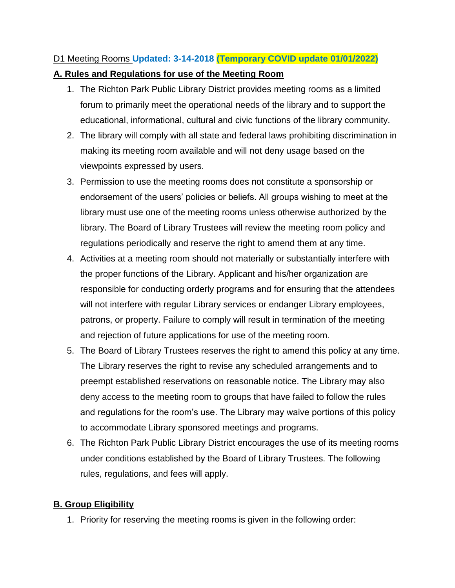# D1 Meeting Rooms **Updated: 3-14-2018 (Temporary COVID update 01/01/2022)**

#### **A. Rules and Regulations for use of the Meeting Room**

- 1. The Richton Park Public Library District provides meeting rooms as a limited forum to primarily meet the operational needs of the library and to support the educational, informational, cultural and civic functions of the library community.
- 2. The library will comply with all state and federal laws prohibiting discrimination in making its meeting room available and will not deny usage based on the viewpoints expressed by users.
- 3. Permission to use the meeting rooms does not constitute a sponsorship or endorsement of the users' policies or beliefs. All groups wishing to meet at the library must use one of the meeting rooms unless otherwise authorized by the library. The Board of Library Trustees will review the meeting room policy and regulations periodically and reserve the right to amend them at any time.
- 4. Activities at a meeting room should not materially or substantially interfere with the proper functions of the Library. Applicant and his/her organization are responsible for conducting orderly programs and for ensuring that the attendees will not interfere with regular Library services or endanger Library employees, patrons, or property. Failure to comply will result in termination of the meeting and rejection of future applications for use of the meeting room.
- 5. The Board of Library Trustees reserves the right to amend this policy at any time. The Library reserves the right to revise any scheduled arrangements and to preempt established reservations on reasonable notice. The Library may also deny access to the meeting room to groups that have failed to follow the rules and regulations for the room's use. The Library may waive portions of this policy to accommodate Library sponsored meetings and programs.
- 6. The Richton Park Public Library District encourages the use of its meeting rooms under conditions established by the Board of Library Trustees. The following rules, regulations, and fees will apply.

## **B. Group Eligibility**

1. Priority for reserving the meeting rooms is given in the following order: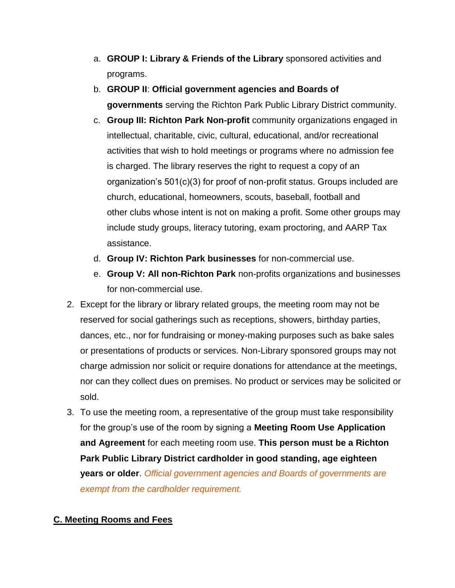- a. **GROUP I: Library & Friends of the Library** sponsored activities and programs.
- b. **GROUP II**: **Official government agencies and Boards of governments** serving the Richton Park Public Library District community.
- c. **Group III: Richton Park Non-profit** community organizations engaged in intellectual, charitable, civic, cultural, educational, and/or recreational activities that wish to hold meetings or programs where no admission fee is charged. The library reserves the right to request a copy of an organization's 501(c)(3) for proof of non-profit status. Groups included are church, educational, homeowners, scouts, baseball, football and other clubs whose intent is not on making a profit. Some other groups may include study groups, literacy tutoring, exam proctoring, and AARP Tax assistance.
- d. **Group IV: Richton Park businesses** for non-commercial use.
- e. **Group V: All non-Richton Park** non-profits organizations and businesses for non-commercial use.
- 2. Except for the library or library related groups, the meeting room may not be reserved for social gatherings such as receptions, showers, birthday parties, dances, etc., nor for fundraising or money-making purposes such as bake sales or presentations of products or services. Non-Library sponsored groups may not charge admission nor solicit or require donations for attendance at the meetings, nor can they collect dues on premises. No product or services may be solicited or sold.
- 3. To use the meeting room, a representative of the group must take responsibility for the group's use of the room by signing a **Meeting Room Use Application and Agreement** for each meeting room use. **This person must be a Richton Park Public Library District cardholder in good standing, age eighteen years or older**. *Official government agencies and Boards of governments are exempt from the cardholder requirement.*

## **C. Meeting Rooms and Fees**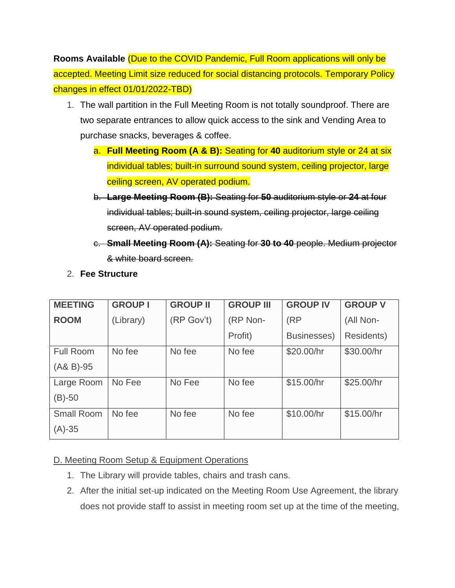**Rooms Available** (Due to the COVID Pandemic, Full Room applications will only be accepted. Meeting Limit size reduced for social distancing protocols. Temporary Policy changes in effect 01/01/2022-TBD)

- 1. The wall partition in the Full Meeting Room is not totally soundproof. There are two separate entrances to allow quick access to the sink and Vending Area to purchase snacks, beverages & coffee.
	- a. **Full Meeting Room (A & B):** Seating for **40** auditorium style or 24 at six individual tables; built-in surround sound system, ceiling projector, large ceiling screen, AV operated podium.
	- b. **Large Meeting Room (B):** Seating for **50** auditorium style or **24** at four individual tables; built-in sound system, ceiling projector, large ceiling screen, AV operated podium.
	- c. **Small Meeting Room (A):** Seating for **30 to 40** people. Medium projector & white board screen.

| <b>MEETING</b>    | <b>GROUP I</b> | <b>GROUP II</b> | <b>GROUP III</b> | <b>GROUP IV</b> | <b>GROUP V</b> |
|-------------------|----------------|-----------------|------------------|-----------------|----------------|
| <b>ROOM</b>       | (Library)      | (RP Gov't)      | (RP Non-         | (RP)            | (All Non-      |
|                   |                |                 | Profit)          | Businesses)     | Residents)     |
| <b>Full Room</b>  | No fee         | No fee          | No fee           | \$20.00/hr      | \$30.00/hr     |
| $(AA B)-95$       |                |                 |                  |                 |                |
| Large Room        | No Fee         | No Fee          | No fee           | \$15.00/hr      | \$25.00/hr     |
| $(B)-50$          |                |                 |                  |                 |                |
| <b>Small Room</b> | No fee         | No fee          | No fee           | \$10.00/hr      | \$15.00/hr     |
| $(A) - 35$        |                |                 |                  |                 |                |

2. **Fee Structure**

#### D. Meeting Room Setup & Equipment Operations

- 1. The Library will provide tables, chairs and trash cans.
- 2. After the initial set-up indicated on the Meeting Room Use Agreement, the library does not provide staff to assist in meeting room set up at the time of the meeting,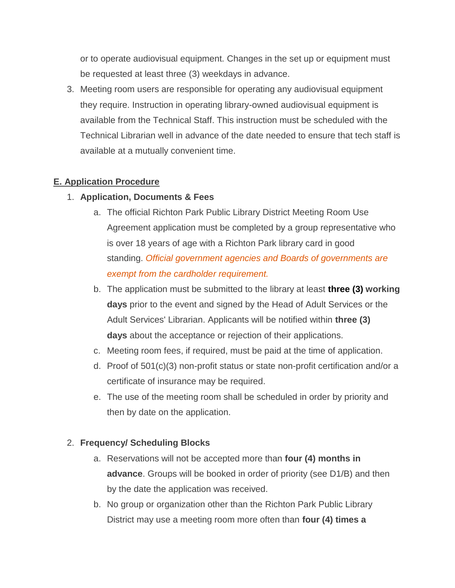or to operate audiovisual equipment. Changes in the set up or equipment must be requested at least three (3) weekdays in advance.

3. Meeting room users are responsible for operating any audiovisual equipment they require. Instruction in operating library-owned audiovisual equipment is available from the Technical Staff. This instruction must be scheduled with the Technical Librarian well in advance of the date needed to ensure that tech staff is available at a mutually convenient time.

#### **E. Application Procedure**

- 1. **Application, Documents & Fees**
	- a. The official Richton Park Public Library District Meeting Room Use Agreement application must be completed by a group representative who is over 18 years of age with a Richton Park library card in good standing. *Official government agencies and Boards of governments are exempt from the cardholder requirement.*
	- b. The application must be submitted to the library at least **three (3) working days** prior to the event and signed by the Head of Adult Services or the Adult Services' Librarian. Applicants will be notified within **three (3) days** about the acceptance or rejection of their applications.
	- c. Meeting room fees, if required, must be paid at the time of application.
	- d. Proof of 501(c)(3) non-profit status or state non-profit certification and/or a certificate of insurance may be required.
	- e. The use of the meeting room shall be scheduled in order by priority and then by date on the application.

#### 2. **Frequency/ Scheduling Blocks**

- a. Reservations will not be accepted more than **four (4) months in advance**. Groups will be booked in order of priority (see D1/B) and then by the date the application was received.
- b. No group or organization other than the Richton Park Public Library District may use a meeting room more often than **four (4) times a**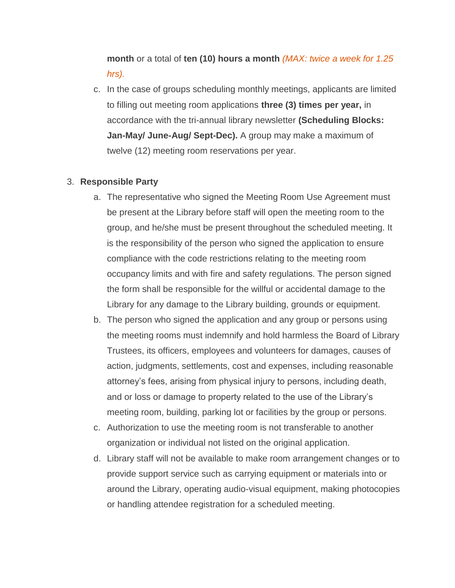# **month** or a total of **ten (10) hours a month** *(MAX: twice a week for 1.25 hrs).*

c. In the case of groups scheduling monthly meetings, applicants are limited to filling out meeting room applications **three (3) times per year,** in accordance with the tri-annual library newsletter **(Scheduling Blocks: Jan-May/ June-Aug/ Sept-Dec).** A group may make a maximum of twelve (12) meeting room reservations per year.

#### 3. **Responsible Party**

- a. The representative who signed the Meeting Room Use Agreement must be present at the Library before staff will open the meeting room to the group, and he/she must be present throughout the scheduled meeting. It is the responsibility of the person who signed the application to ensure compliance with the code restrictions relating to the meeting room occupancy limits and with fire and safety regulations. The person signed the form shall be responsible for the willful or accidental damage to the Library for any damage to the Library building, grounds or equipment.
- b. The person who signed the application and any group or persons using the meeting rooms must indemnify and hold harmless the Board of Library Trustees, its officers, employees and volunteers for damages, causes of action, judgments, settlements, cost and expenses, including reasonable attorney's fees, arising from physical injury to persons, including death, and or loss or damage to property related to the use of the Library's meeting room, building, parking lot or facilities by the group or persons.
- c. Authorization to use the meeting room is not transferable to another organization or individual not listed on the original application.
- d. Library staff will not be available to make room arrangement changes or to provide support service such as carrying equipment or materials into or around the Library, operating audio-visual equipment, making photocopies or handling attendee registration for a scheduled meeting.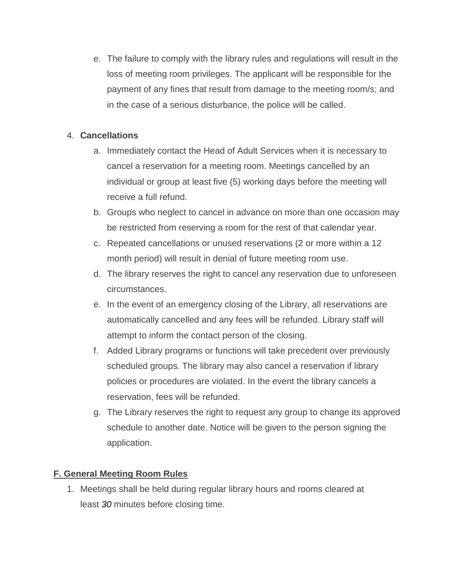e. The failure to comply with the library rules and regulations will result in the loss of meeting room privileges. The applicant will be responsible for the payment of any fines that result from damage to the meeting room/s; and in the case of a serious disturbance, the police will be called.

#### 4. **Cancellations**

- a. Immediately contact the Head of Adult Services when it is necessary to cancel a reservation for a meeting room. Meetings cancelled by an individual or group at least five (5) working days before the meeting will receive a full refund.
- b. Groups who neglect to cancel in advance on more than one occasion may be restricted from reserving a room for the rest of that calendar year.
- c. Repeated cancellations or unused reservations (2 or more within a 12 month period) will result in denial of future meeting room use.
- d. The library reserves the right to cancel any reservation due to unforeseen circumstances.
- e. In the event of an emergency closing of the Library, all reservations are automatically cancelled and any fees will be refunded. Library staff will attempt to inform the contact person of the closing.
- f. Added Library programs or functions will take precedent over previously scheduled groups. The library may also cancel a reservation if library policies or procedures are violated. In the event the library cancels a reservation, fees will be refunded.
- g. The Library reserves the right to request any group to change its approved schedule to another date. Notice will be given to the person signing the application.

#### **F. General Meeting Room Rules**

1. Meetings shall be held during regular library hours and rooms cleared at least *30* minutes before closing time.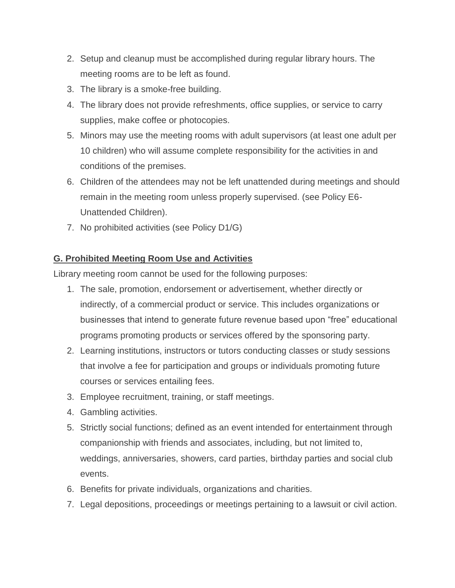- 2. Setup and cleanup must be accomplished during regular library hours. The meeting rooms are to be left as found.
- 3. The library is a smoke-free building.
- 4. The library does not provide refreshments, office supplies, or service to carry supplies, make coffee or photocopies.
- 5. Minors may use the meeting rooms with adult supervisors (at least one adult per 10 children) who will assume complete responsibility for the activities in and conditions of the premises.
- 6. Children of the attendees may not be left unattended during meetings and should remain in the meeting room unless properly supervised. (see Policy E6- Unattended Children).
- 7. No prohibited activities (see Policy D1/G)

#### **G. Prohibited Meeting Room Use and Activities**

Library meeting room cannot be used for the following purposes:

- 1. The sale, promotion, endorsement or advertisement, whether directly or indirectly, of a commercial product or service. This includes organizations or businesses that intend to generate future revenue based upon "free" educational programs promoting products or services offered by the sponsoring party.
- 2. Learning institutions, instructors or tutors conducting classes or study sessions that involve a fee for participation and groups or individuals promoting future courses or services entailing fees.
- 3. Employee recruitment, training, or staff meetings.
- 4. Gambling activities.
- 5. Strictly social functions; defined as an event intended for entertainment through companionship with friends and associates, including, but not limited to, weddings, anniversaries, showers, card parties, birthday parties and social club events.
- 6. Benefits for private individuals, organizations and charities.
- 7. Legal depositions, proceedings or meetings pertaining to a lawsuit or civil action.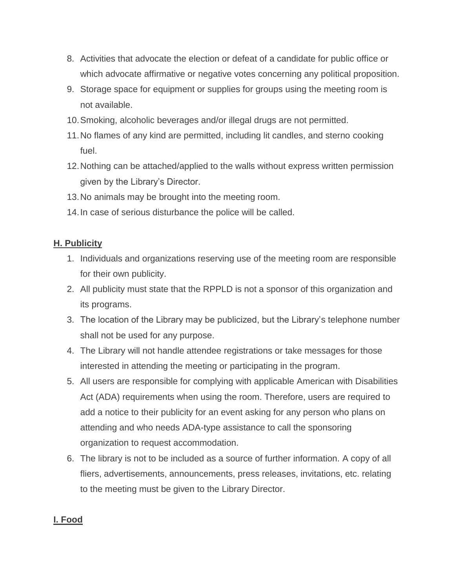- 8. Activities that advocate the election or defeat of a candidate for public office or which advocate affirmative or negative votes concerning any political proposition.
- 9. Storage space for equipment or supplies for groups using the meeting room is not available.
- 10.Smoking, alcoholic beverages and/or illegal drugs are not permitted.
- 11.No flames of any kind are permitted, including lit candles, and sterno cooking fuel.
- 12.Nothing can be attached/applied to the walls without express written permission given by the Library's Director.
- 13.No animals may be brought into the meeting room.
- 14.In case of serious disturbance the police will be called.

#### **H. Publicity**

- 1. Individuals and organizations reserving use of the meeting room are responsible for their own publicity.
- 2. All publicity must state that the RPPLD is not a sponsor of this organization and its programs.
- 3. The location of the Library may be publicized, but the Library's telephone number shall not be used for any purpose.
- 4. The Library will not handle attendee registrations or take messages for those interested in attending the meeting or participating in the program.
- 5. All users are responsible for complying with applicable American with Disabilities Act (ADA) requirements when using the room. Therefore, users are required to add a notice to their publicity for an event asking for any person who plans on attending and who needs ADA-type assistance to call the sponsoring organization to request accommodation.
- 6. The library is not to be included as a source of further information. A copy of all fliers, advertisements, announcements, press releases, invitations, etc. relating to the meeting must be given to the Library Director.

#### **I. Food**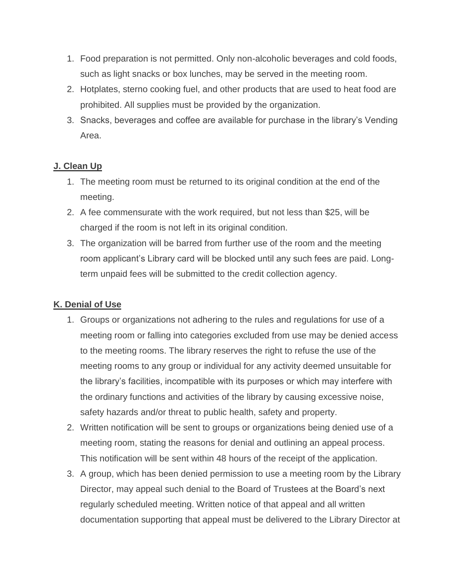- 1. Food preparation is not permitted. Only non-alcoholic beverages and cold foods, such as light snacks or box lunches, may be served in the meeting room.
- 2. Hotplates, sterno cooking fuel, and other products that are used to heat food are prohibited. All supplies must be provided by the organization.
- 3. Snacks, beverages and coffee are available for purchase in the library's Vending Area.

#### **J. Clean Up**

- 1. The meeting room must be returned to its original condition at the end of the meeting.
- 2. A fee commensurate with the work required, but not less than \$25, will be charged if the room is not left in its original condition.
- 3. The organization will be barred from further use of the room and the meeting room applicant's Library card will be blocked until any such fees are paid. Longterm unpaid fees will be submitted to the credit collection agency.

#### **K. Denial of Use**

- 1. Groups or organizations not adhering to the rules and regulations for use of a meeting room or falling into categories excluded from use may be denied access to the meeting rooms. The library reserves the right to refuse the use of the meeting rooms to any group or individual for any activity deemed unsuitable for the library's facilities, incompatible with its purposes or which may interfere with the ordinary functions and activities of the library by causing excessive noise, safety hazards and/or threat to public health, safety and property.
- 2. Written notification will be sent to groups or organizations being denied use of a meeting room, stating the reasons for denial and outlining an appeal process. This notification will be sent within 48 hours of the receipt of the application.
- 3. A group, which has been denied permission to use a meeting room by the Library Director, may appeal such denial to the Board of Trustees at the Board's next regularly scheduled meeting. Written notice of that appeal and all written documentation supporting that appeal must be delivered to the Library Director at